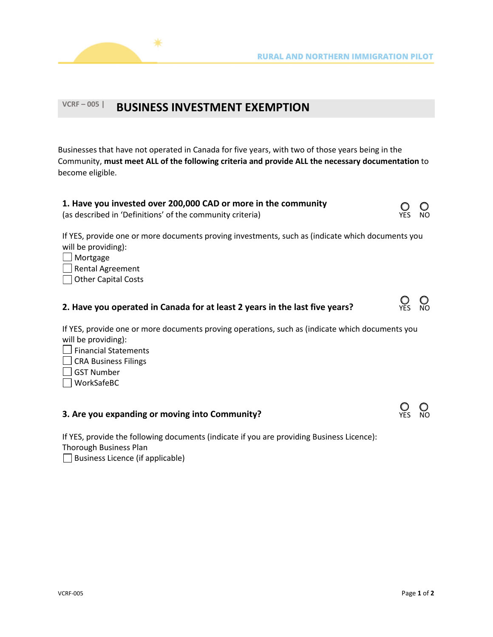



## **VCRF – <sup>005</sup> <sup>|</sup> BUSINESS INVESTMENT EXEMPTION**

Businesses that have not operated in Canada for five years, with two of those years being in the Community, **must meet ALL of the following criteria and provide ALL the necessary documentation** to become eligible.

| 1. Have you invested over 200,000 CAD or more in the community<br>(as described in 'Definitions' of the community criteria)                                                                         | <b>YES</b> | NO. |
|-----------------------------------------------------------------------------------------------------------------------------------------------------------------------------------------------------|------------|-----|
| If YES, provide one or more documents proving investments, such as (indicate which documents you<br>will be providing):<br>$\Box$ Mortgage<br>$\Box$ Rental Agreement<br><b>Other Capital Costs</b> |            |     |
|                                                                                                                                                                                                     |            |     |



If YES, provide one or more documents proving operations, such as (indicate which documents you will be providing):

- $\Box$  Financial Statements
- CRA Business Filings
- $\Box$  GST Number
- WorkSafeBC

## **3. Are you expanding or moving into Community? The Community of Community** of Community of Community of Community of Community of Community of Community of Community of Community of Community of Community of Community o

If YES, provide the following documents (indicate if you are providing Business Licence): Thorough Business Plan

 $\Box$  Business Licence (if applicable)